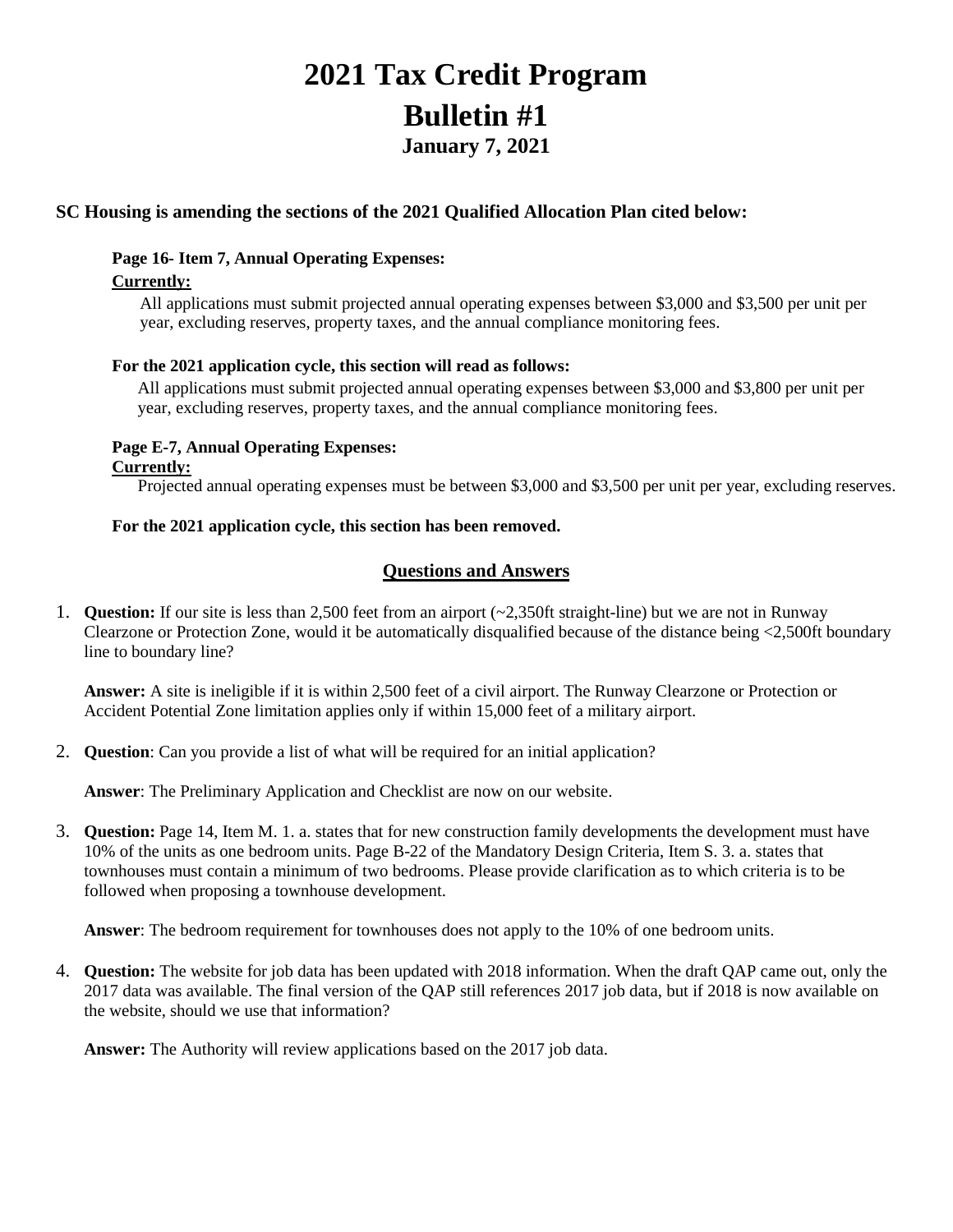# **2021 Tax Credit Program Bulletin #1 January 7, 2021**

## **SC Housing is amending the sections of the 2021 Qualified Allocation Plan cited below:**

# **Page 16- Item 7, Annual Operating Expenses:**

#### **Currently:**

All applications must submit projected annual operating expenses between \$3,000 and \$3,500 per unit per year, excluding reserves, property taxes, and the annual compliance monitoring fees.

#### **For the 2021 application cycle, this section will read as follows:**

All applications must submit projected annual operating expenses between \$3,000 and \$3,800 per unit per year, excluding reserves, property taxes, and the annual compliance monitoring fees.

#### **Page E-7, Annual Operating Expenses: Currently:**

Projected annual operating expenses must be between \$3,000 and \$3,500 per unit per year, excluding reserves.

#### **For the 2021 application cycle, this section has been removed.**

### **Questions and Answers**

1. **Question:** If our site is less than 2,500 feet from an airport (~2,350ft straight-line) but we are not in Runway Clearzone or Protection Zone, would it be automatically disqualified because of the distance being <2,500ft boundary line to boundary line?

**Answer:** A site is ineligible if it is within 2,500 feet of a civil airport. The Runway Clearzone or Protection or Accident Potential Zone limitation applies only if within 15,000 feet of a military airport.

2. **Question**: Can you provide a list of what will be required for an initial application?

**Answer**: The Preliminary Application and Checklist are now on our website.

3. **Question:** Page 14, Item M. 1. a. states that for new construction family developments the development must have 10% of the units as one bedroom units. Page B-22 of the Mandatory Design Criteria, Item S. 3. a. states that townhouses must contain a minimum of two bedrooms. Please provide clarification as to which criteria is to be followed when proposing a townhouse development.

**Answer**: The bedroom requirement for townhouses does not apply to the 10% of one bedroom units.

4. **Question:** The website for job data has been updated with 2018 information. When the draft QAP came out, only the 2017 data was available. The final version of the QAP still references 2017 job data, but if 2018 is now available on the website, should we use that information?

**Answer:** The Authority will review applications based on the 2017 job data.